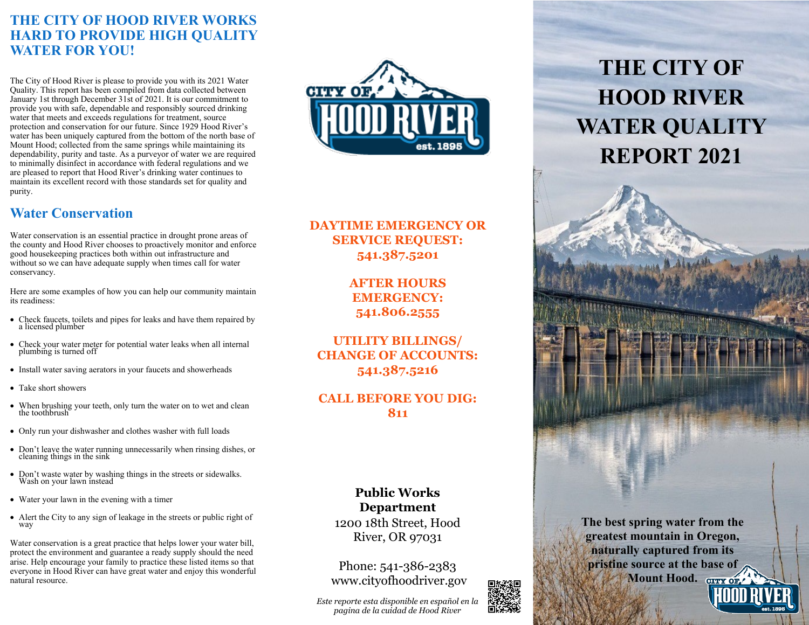# **THE CITY OF HOOD RIVER WORKS HARD TO PROVIDE HIGH QUALITY WATER FOR YOU!**

The City of Hood River is please to provide you with its 2021 Water Quality. This report has been compiled from data collected between January 1st through December 31st of 2021. It is our commitment to provide you with safe, dependable and responsibly sourced drinking water that meets and exceeds regulations for treatment, source protection and conservation for our future. Since 1929 Hood River's water has been uniquely captured from the bottom of the north base of Mount Hood; collected from the same springs while maintaining its dependability, purity and taste. As a purveyor of water we are required to minimally disinfect in accordance with federal regulations and we are pleased to report that Hood River's drinking water continues to maintain its excellent record with those standards set for quality and purity.

# **Water Conservation**

Water conservation is an essential practice in drought prone areas of the county and Hood River chooses to proactively monitor and enforce good housekeeping practices both within out infrastructure and without so we can have adequate supply when times call for water conservancy.

Here are some examples of how you can help our community maintain its readiness:

- Check faucets, toilets and pipes for leaks and have them repaired by a licensed plumber
- Check your water meter for potential water leaks when all internal plumbing is turned off
- Install water saving aerators in your faucets and showerheads
- Take short showers
- When brushing your teeth, only turn the water on to wet and clean the toothbrush
- Only run your dishwasher and clothes washer with full loads
- Don't leave the water running unnecessarily when rinsing dishes, or cleaning things in the sink
- Don't waste water by washing things in the streets or sidewalks. Wash on your lawn instead
- Water your lawn in the evening with a timer
- Alert the City to any sign of leakage in the streets or public right of way

Water conservation is a great practice that helps lower your water bill, protect the environment and guarantee a ready supply should the need arise. Help encourage your family to practice these listed items so that everyone in Hood River can have great water and enjoy this wonderful natural resource.



## **DAYTIME EMERGENCY OR SERVICE REQUEST: 541.387.5201**

**AFTER HOURS EMERGENCY: 541.806.2555**

**UTILITY BILLINGS/ CHANGE OF ACCOUNTS: 541.387.5216**

### **CALL BEFORE YOU DIG: 811**

#### **Public Works Department**

1200 18th Street, Hood River, OR 97031

Phone: 541-386-2383 www.cityofhoodriver.gov

*Este reporte esta disponible en español en la pagina de la cuidad de Hood River*